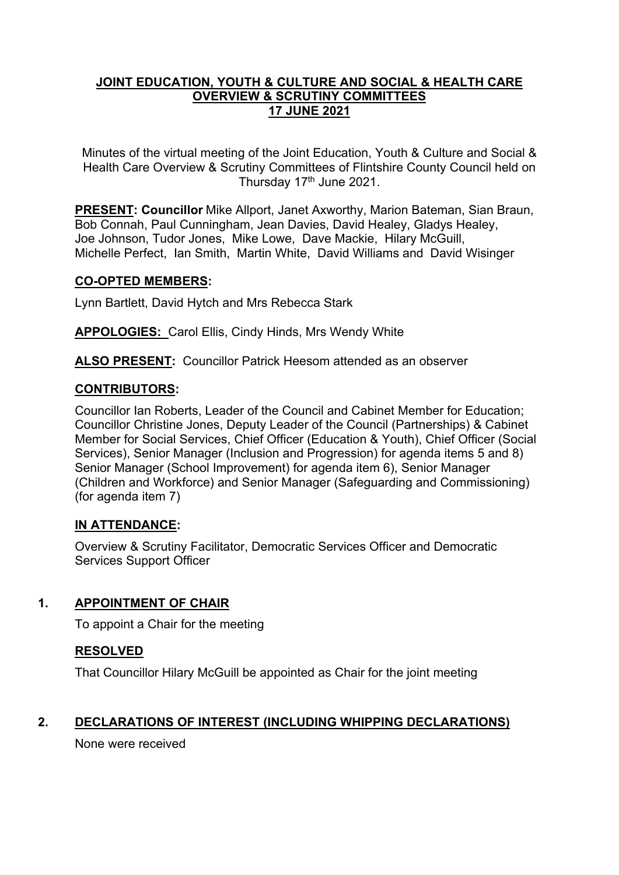### **JOINT EDUCATION, YOUTH & CULTURE AND SOCIAL & HEALTH CARE OVERVIEW & SCRUTINY COMMITTEES 17 JUNE 2021**

Minutes of the virtual meeting of the Joint Education, Youth & Culture and Social & Health Care Overview & Scrutiny Committees of Flintshire County Council held on Thursday 17<sup>th</sup> June 2021.

**PRESENT: Councillor** Mike Allport, Janet Axworthy, Marion Bateman, Sian Braun, Bob Connah, Paul Cunningham, Jean Davies, David Healey, Gladys Healey, Joe Johnson, Tudor Jones, Mike Lowe, Dave Mackie, Hilary McGuill, Michelle Perfect, Ian Smith, Martin White, David Williams and David Wisinger

### **CO-OPTED MEMBERS:**

Lynn Bartlett, David Hytch and Mrs Rebecca Stark

**APPOLOGIES:** Carol Ellis, Cindy Hinds, Mrs Wendy White

**ALSO PRESENT:** Councillor Patrick Heesom attended as an observer

# **CONTRIBUTORS:**

Councillor Ian Roberts, Leader of the Council and Cabinet Member for Education; Councillor Christine Jones, Deputy Leader of the Council (Partnerships) & Cabinet Member for Social Services, Chief Officer (Education & Youth), Chief Officer (Social Services), Senior Manager (Inclusion and Progression) for agenda items 5 and 8) Senior Manager (School Improvement) for agenda item 6), Senior Manager (Children and Workforce) and Senior Manager (Safeguarding and Commissioning) (for agenda item 7)

# **IN ATTENDANCE:**

Overview & Scrutiny Facilitator, Democratic Services Officer and Democratic Services Support Officer

# **1. APPOINTMENT OF CHAIR**

To appoint a Chair for the meeting

# **RESOLVED**

That Councillor Hilary McGuill be appointed as Chair for the joint meeting

# **2. DECLARATIONS OF INTEREST (INCLUDING WHIPPING DECLARATIONS)**

None were received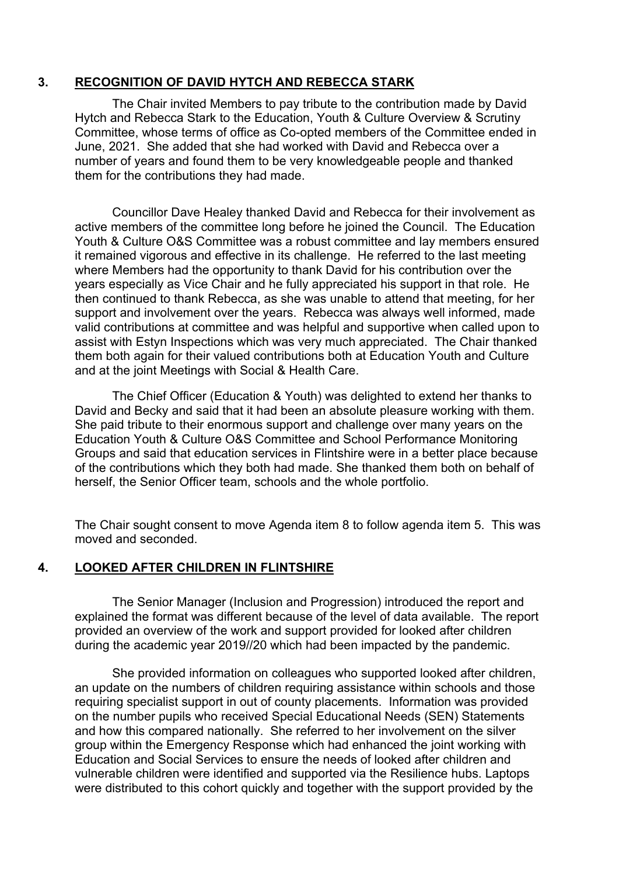### **3. RECOGNITION OF DAVID HYTCH AND REBECCA STARK**

The Chair invited Members to pay tribute to the contribution made by David Hytch and Rebecca Stark to the Education, Youth & Culture Overview & Scrutiny Committee, whose terms of office as Co-opted members of the Committee ended in June, 2021. She added that she had worked with David and Rebecca over a number of years and found them to be very knowledgeable people and thanked them for the contributions they had made.

Councillor Dave Healey thanked David and Rebecca for their involvement as active members of the committee long before he joined the Council. The Education Youth & Culture O&S Committee was a robust committee and lay members ensured it remained vigorous and effective in its challenge. He referred to the last meeting where Members had the opportunity to thank David for his contribution over the years especially as Vice Chair and he fully appreciated his support in that role. He then continued to thank Rebecca, as she was unable to attend that meeting, for her support and involvement over the years. Rebecca was always well informed, made valid contributions at committee and was helpful and supportive when called upon to assist with Estyn Inspections which was very much appreciated. The Chair thanked them both again for their valued contributions both at Education Youth and Culture and at the joint Meetings with Social & Health Care.

The Chief Officer (Education & Youth) was delighted to extend her thanks to David and Becky and said that it had been an absolute pleasure working with them. She paid tribute to their enormous support and challenge over many years on the Education Youth & Culture O&S Committee and School Performance Monitoring Groups and said that education services in Flintshire were in a better place because of the contributions which they both had made. She thanked them both on behalf of herself, the Senior Officer team, schools and the whole portfolio.

The Chair sought consent to move Agenda item 8 to follow agenda item 5. This was moved and seconded.

### **4. LOOKED AFTER CHILDREN IN FLINTSHIRE**

The Senior Manager (Inclusion and Progression) introduced the report and explained the format was different because of the level of data available. The report provided an overview of the work and support provided for looked after children during the academic year 2019//20 which had been impacted by the pandemic.

She provided information on colleagues who supported looked after children, an update on the numbers of children requiring assistance within schools and those requiring specialist support in out of county placements. Information was provided on the number pupils who received Special Educational Needs (SEN) Statements and how this compared nationally. She referred to her involvement on the silver group within the Emergency Response which had enhanced the joint working with Education and Social Services to ensure the needs of looked after children and vulnerable children were identified and supported via the Resilience hubs. Laptops were distributed to this cohort quickly and together with the support provided by the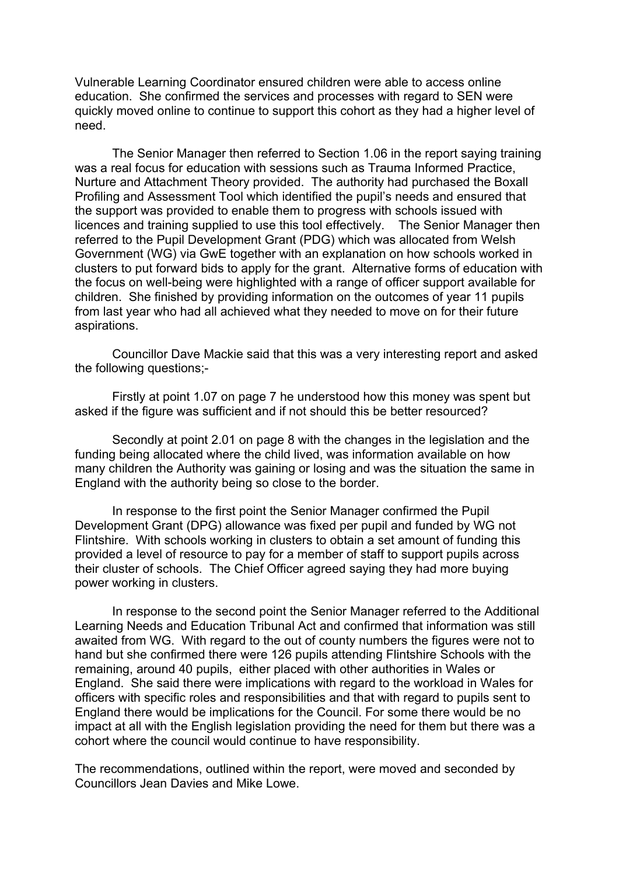Vulnerable Learning Coordinator ensured children were able to access online education. She confirmed the services and processes with regard to SEN were quickly moved online to continue to support this cohort as they had a higher level of need.

The Senior Manager then referred to Section 1.06 in the report saying training was a real focus for education with sessions such as Trauma Informed Practice, Nurture and Attachment Theory provided. The authority had purchased the Boxall Profiling and Assessment Tool which identified the pupil's needs and ensured that the support was provided to enable them to progress with schools issued with licences and training supplied to use this tool effectively. The Senior Manager then referred to the Pupil Development Grant (PDG) which was allocated from Welsh Government (WG) via GwE together with an explanation on how schools worked in clusters to put forward bids to apply for the grant. Alternative forms of education with the focus on well-being were highlighted with a range of officer support available for children. She finished by providing information on the outcomes of year 11 pupils from last year who had all achieved what they needed to move on for their future aspirations.

Councillor Dave Mackie said that this was a very interesting report and asked the following questions;-

Firstly at point 1.07 on page 7 he understood how this money was spent but asked if the figure was sufficient and if not should this be better resourced?

Secondly at point 2.01 on page 8 with the changes in the legislation and the funding being allocated where the child lived, was information available on how many children the Authority was gaining or losing and was the situation the same in England with the authority being so close to the border.

In response to the first point the Senior Manager confirmed the Pupil Development Grant (DPG) allowance was fixed per pupil and funded by WG not Flintshire. With schools working in clusters to obtain a set amount of funding this provided a level of resource to pay for a member of staff to support pupils across their cluster of schools. The Chief Officer agreed saying they had more buying power working in clusters.

In response to the second point the Senior Manager referred to the Additional Learning Needs and Education Tribunal Act and confirmed that information was still awaited from WG. With regard to the out of county numbers the figures were not to hand but she confirmed there were 126 pupils attending Flintshire Schools with the remaining, around 40 pupils, either placed with other authorities in Wales or England. She said there were implications with regard to the workload in Wales for officers with specific roles and responsibilities and that with regard to pupils sent to England there would be implications for the Council. For some there would be no impact at all with the English legislation providing the need for them but there was a cohort where the council would continue to have responsibility.

The recommendations, outlined within the report, were moved and seconded by Councillors Jean Davies and Mike Lowe.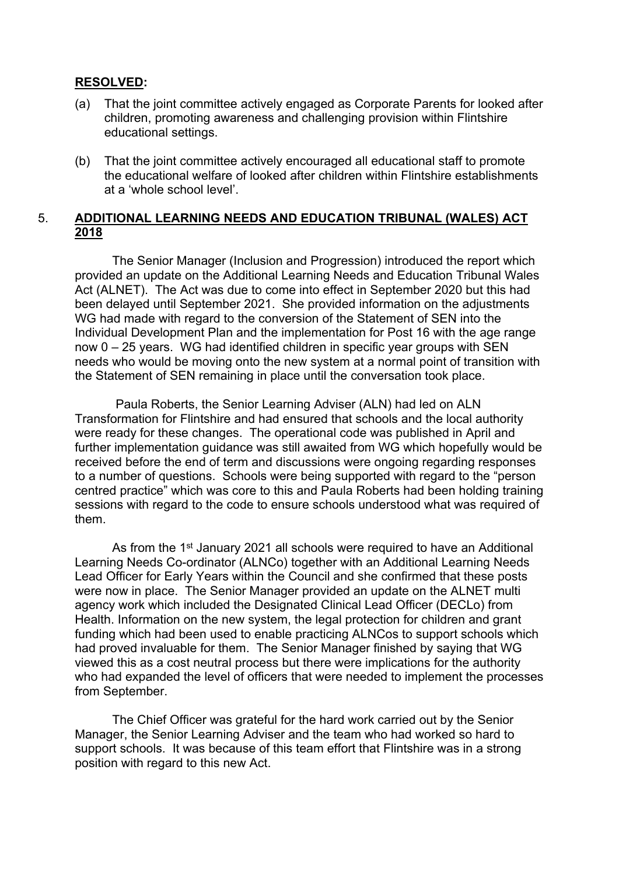#### **RESOLVED:**

- (a) That the joint committee actively engaged as Corporate Parents for looked after children, promoting awareness and challenging provision within Flintshire educational settings.
- (b) That the joint committee actively encouraged all educational staff to promote the educational welfare of looked after children within Flintshire establishments at a 'whole school level'.

### 5. **ADDITIONAL LEARNING NEEDS AND EDUCATION TRIBUNAL (WALES) ACT 2018**

The Senior Manager (Inclusion and Progression) introduced the report which provided an update on the Additional Learning Needs and Education Tribunal Wales Act (ALNET). The Act was due to come into effect in September 2020 but this had been delayed until September 2021. She provided information on the adjustments WG had made with regard to the conversion of the Statement of SEN into the Individual Development Plan and the implementation for Post 16 with the age range now 0 – 25 years. WG had identified children in specific year groups with SEN needs who would be moving onto the new system at a normal point of transition with the Statement of SEN remaining in place until the conversation took place.

Paula Roberts, the Senior Learning Adviser (ALN) had led on ALN Transformation for Flintshire and had ensured that schools and the local authority were ready for these changes. The operational code was published in April and further implementation guidance was still awaited from WG which hopefully would be received before the end of term and discussions were ongoing regarding responses to a number of questions. Schools were being supported with regard to the "person centred practice" which was core to this and Paula Roberts had been holding training sessions with regard to the code to ensure schools understood what was required of them.

As from the 1<sup>st</sup> January 2021 all schools were required to have an Additional Learning Needs Co-ordinator (ALNCo) together with an Additional Learning Needs Lead Officer for Early Years within the Council and she confirmed that these posts were now in place. The Senior Manager provided an update on the ALNET multi agency work which included the Designated Clinical Lead Officer (DECLo) from Health. Information on the new system, the legal protection for children and grant funding which had been used to enable practicing ALNCos to support schools which had proved invaluable for them. The Senior Manager finished by saying that WG viewed this as a cost neutral process but there were implications for the authority who had expanded the level of officers that were needed to implement the processes from September.

The Chief Officer was grateful for the hard work carried out by the Senior Manager, the Senior Learning Adviser and the team who had worked so hard to support schools. It was because of this team effort that Flintshire was in a strong position with regard to this new Act.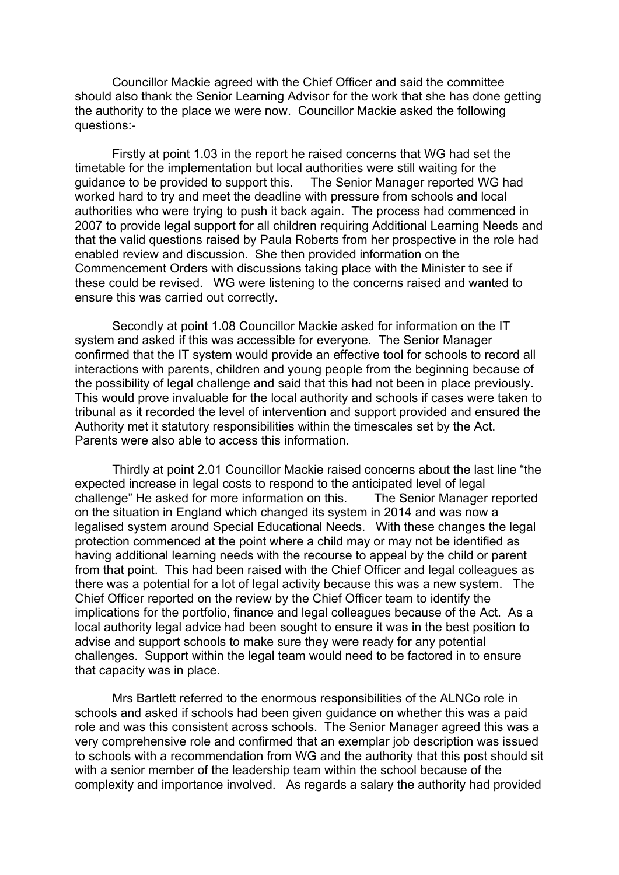Councillor Mackie agreed with the Chief Officer and said the committee should also thank the Senior Learning Advisor for the work that she has done getting the authority to the place we were now. Councillor Mackie asked the following questions:-

Firstly at point 1.03 in the report he raised concerns that WG had set the timetable for the implementation but local authorities were still waiting for the guidance to be provided to support this. The Senior Manager reported WG had worked hard to try and meet the deadline with pressure from schools and local authorities who were trying to push it back again. The process had commenced in 2007 to provide legal support for all children requiring Additional Learning Needs and that the valid questions raised by Paula Roberts from her prospective in the role had enabled review and discussion. She then provided information on the Commencement Orders with discussions taking place with the Minister to see if these could be revised. WG were listening to the concerns raised and wanted to ensure this was carried out correctly.

Secondly at point 1.08 Councillor Mackie asked for information on the IT system and asked if this was accessible for everyone. The Senior Manager confirmed that the IT system would provide an effective tool for schools to record all interactions with parents, children and young people from the beginning because of the possibility of legal challenge and said that this had not been in place previously. This would prove invaluable for the local authority and schools if cases were taken to tribunal as it recorded the level of intervention and support provided and ensured the Authority met it statutory responsibilities within the timescales set by the Act. Parents were also able to access this information.

Thirdly at point 2.01 Councillor Mackie raised concerns about the last line "the expected increase in legal costs to respond to the anticipated level of legal challenge" He asked for more information on this. The Senior Manager reported on the situation in England which changed its system in 2014 and was now a legalised system around Special Educational Needs. With these changes the legal protection commenced at the point where a child may or may not be identified as having additional learning needs with the recourse to appeal by the child or parent from that point. This had been raised with the Chief Officer and legal colleagues as there was a potential for a lot of legal activity because this was a new system. The Chief Officer reported on the review by the Chief Officer team to identify the implications for the portfolio, finance and legal colleagues because of the Act. As a local authority legal advice had been sought to ensure it was in the best position to advise and support schools to make sure they were ready for any potential challenges. Support within the legal team would need to be factored in to ensure that capacity was in place.

Mrs Bartlett referred to the enormous responsibilities of the ALNCo role in schools and asked if schools had been given guidance on whether this was a paid role and was this consistent across schools. The Senior Manager agreed this was a very comprehensive role and confirmed that an exemplar job description was issued to schools with a recommendation from WG and the authority that this post should sit with a senior member of the leadership team within the school because of the complexity and importance involved. As regards a salary the authority had provided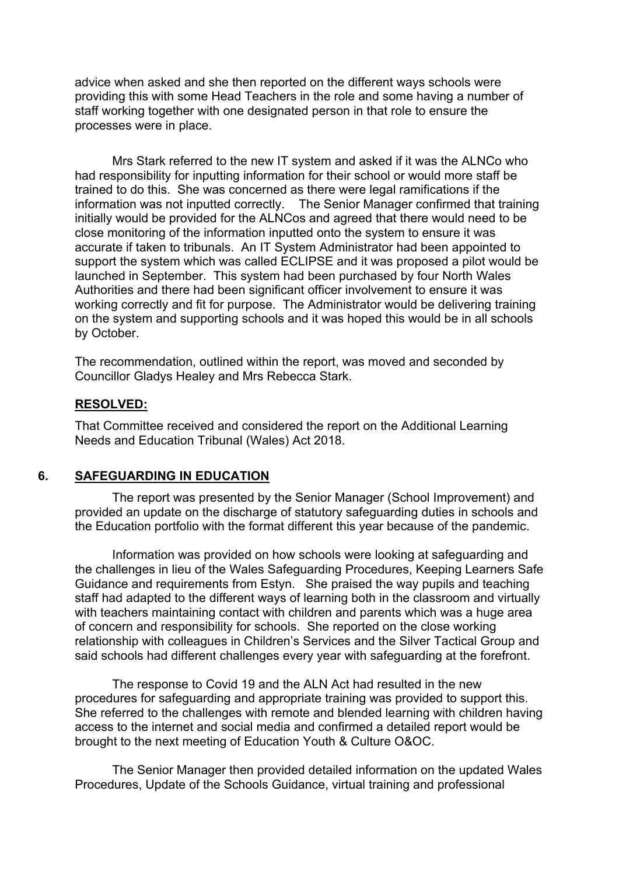advice when asked and she then reported on the different ways schools were providing this with some Head Teachers in the role and some having a number of staff working together with one designated person in that role to ensure the processes were in place.

Mrs Stark referred to the new IT system and asked if it was the ALNCo who had responsibility for inputting information for their school or would more staff be trained to do this. She was concerned as there were legal ramifications if the information was not inputted correctly. The Senior Manager confirmed that training initially would be provided for the ALNCos and agreed that there would need to be close monitoring of the information inputted onto the system to ensure it was accurate if taken to tribunals. An IT System Administrator had been appointed to support the system which was called ECLIPSE and it was proposed a pilot would be launched in September. This system had been purchased by four North Wales Authorities and there had been significant officer involvement to ensure it was working correctly and fit for purpose. The Administrator would be delivering training on the system and supporting schools and it was hoped this would be in all schools by October.

The recommendation, outlined within the report, was moved and seconded by Councillor Gladys Healey and Mrs Rebecca Stark.

#### **RESOLVED:**

That Committee received and considered the report on the Additional Learning Needs and Education Tribunal (Wales) Act 2018.

#### **6. SAFEGUARDING IN EDUCATION**

The report was presented by the Senior Manager (School Improvement) and provided an update on the discharge of statutory safeguarding duties in schools and the Education portfolio with the format different this year because of the pandemic.

Information was provided on how schools were looking at safeguarding and the challenges in lieu of the Wales Safeguarding Procedures, Keeping Learners Safe Guidance and requirements from Estyn. She praised the way pupils and teaching staff had adapted to the different ways of learning both in the classroom and virtually with teachers maintaining contact with children and parents which was a huge area of concern and responsibility for schools. She reported on the close working relationship with colleagues in Children's Services and the Silver Tactical Group and said schools had different challenges every year with safeguarding at the forefront.

The response to Covid 19 and the ALN Act had resulted in the new procedures for safeguarding and appropriate training was provided to support this. She referred to the challenges with remote and blended learning with children having access to the internet and social media and confirmed a detailed report would be brought to the next meeting of Education Youth & Culture O&OC.

The Senior Manager then provided detailed information on the updated Wales Procedures, Update of the Schools Guidance, virtual training and professional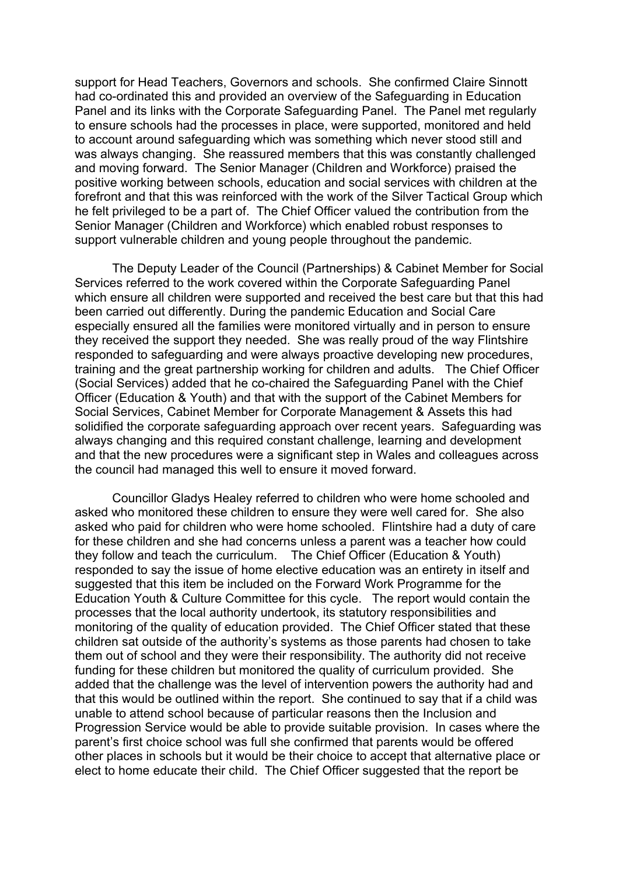support for Head Teachers, Governors and schools. She confirmed Claire Sinnott had co-ordinated this and provided an overview of the Safeguarding in Education Panel and its links with the Corporate Safeguarding Panel. The Panel met regularly to ensure schools had the processes in place, were supported, monitored and held to account around safeguarding which was something which never stood still and was always changing. She reassured members that this was constantly challenged and moving forward. The Senior Manager (Children and Workforce) praised the positive working between schools, education and social services with children at the forefront and that this was reinforced with the work of the Silver Tactical Group which he felt privileged to be a part of. The Chief Officer valued the contribution from the Senior Manager (Children and Workforce) which enabled robust responses to support vulnerable children and young people throughout the pandemic.

The Deputy Leader of the Council (Partnerships) & Cabinet Member for Social Services referred to the work covered within the Corporate Safeguarding Panel which ensure all children were supported and received the best care but that this had been carried out differently. During the pandemic Education and Social Care especially ensured all the families were monitored virtually and in person to ensure they received the support they needed. She was really proud of the way Flintshire responded to safeguarding and were always proactive developing new procedures, training and the great partnership working for children and adults. The Chief Officer (Social Services) added that he co-chaired the Safeguarding Panel with the Chief Officer (Education & Youth) and that with the support of the Cabinet Members for Social Services, Cabinet Member for Corporate Management & Assets this had solidified the corporate safeguarding approach over recent years. Safeguarding was always changing and this required constant challenge, learning and development and that the new procedures were a significant step in Wales and colleagues across the council had managed this well to ensure it moved forward.

Councillor Gladys Healey referred to children who were home schooled and asked who monitored these children to ensure they were well cared for. She also asked who paid for children who were home schooled. Flintshire had a duty of care for these children and she had concerns unless a parent was a teacher how could they follow and teach the curriculum. The Chief Officer (Education & Youth) responded to say the issue of home elective education was an entirety in itself and suggested that this item be included on the Forward Work Programme for the Education Youth & Culture Committee for this cycle. The report would contain the processes that the local authority undertook, its statutory responsibilities and monitoring of the quality of education provided. The Chief Officer stated that these children sat outside of the authority's systems as those parents had chosen to take them out of school and they were their responsibility. The authority did not receive funding for these children but monitored the quality of curriculum provided. She added that the challenge was the level of intervention powers the authority had and that this would be outlined within the report. She continued to say that if a child was unable to attend school because of particular reasons then the Inclusion and Progression Service would be able to provide suitable provision. In cases where the parent's first choice school was full she confirmed that parents would be offered other places in schools but it would be their choice to accept that alternative place or elect to home educate their child. The Chief Officer suggested that the report be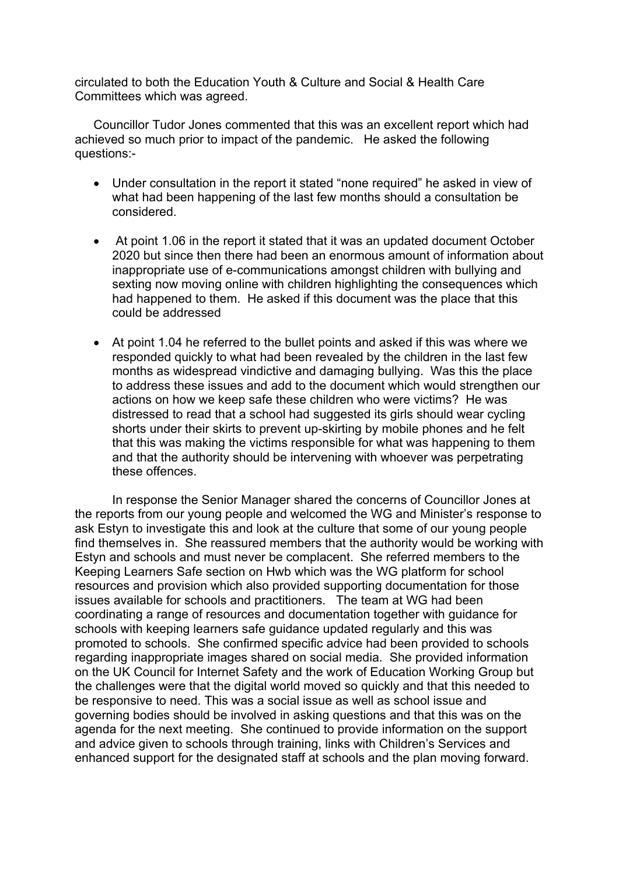circulated to both the Education Youth & Culture and Social & Health Care Committees which was agreed.

Councillor Tudor Jones commented that this was an excellent report which had achieved so much prior to impact of the pandemic. He asked the following questions:-

- Under consultation in the report it stated "none required" he asked in view of what had been happening of the last few months should a consultation be considered.
- At point 1.06 in the report it stated that it was an updated document October 2020 but since then there had been an enormous amount of information about inappropriate use of e-communications amongst children with bullying and sexting now moving online with children highlighting the consequences which had happened to them. He asked if this document was the place that this could be addressed
- At point 1.04 he referred to the bullet points and asked if this was where we responded quickly to what had been revealed by the children in the last few months as widespread vindictive and damaging bullying. Was this the place to address these issues and add to the document which would strengthen our actions on how we keep safe these children who were victims? He was distressed to read that a school had suggested its girls should wear cycling shorts under their skirts to prevent up-skirting by mobile phones and he felt that this was making the victims responsible for what was happening to them and that the authority should be intervening with whoever was perpetrating these offences.

In response the Senior Manager shared the concerns of Councillor Jones at the reports from our young people and welcomed the WG and Minister's response to ask Estyn to investigate this and look at the culture that some of our young people find themselves in. She reassured members that the authority would be working with Estyn and schools and must never be complacent. She referred members to the Keeping Learners Safe section on Hwb which was the WG platform for school resources and provision which also provided supporting documentation for those issues available for schools and practitioners. The team at WG had been coordinating a range of resources and documentation together with guidance for schools with keeping learners safe guidance updated regularly and this was promoted to schools. She confirmed specific advice had been provided to schools regarding inappropriate images shared on social media. She provided information on the UK Council for Internet Safety and the work of Education Working Group but the challenges were that the digital world moved so quickly and that this needed to be responsive to need. This was a social issue as well as school issue and governing bodies should be involved in asking questions and that this was on the agenda for the next meeting. She continued to provide information on the support and advice given to schools through training, links with Children's Services and enhanced support for the designated staff at schools and the plan moving forward.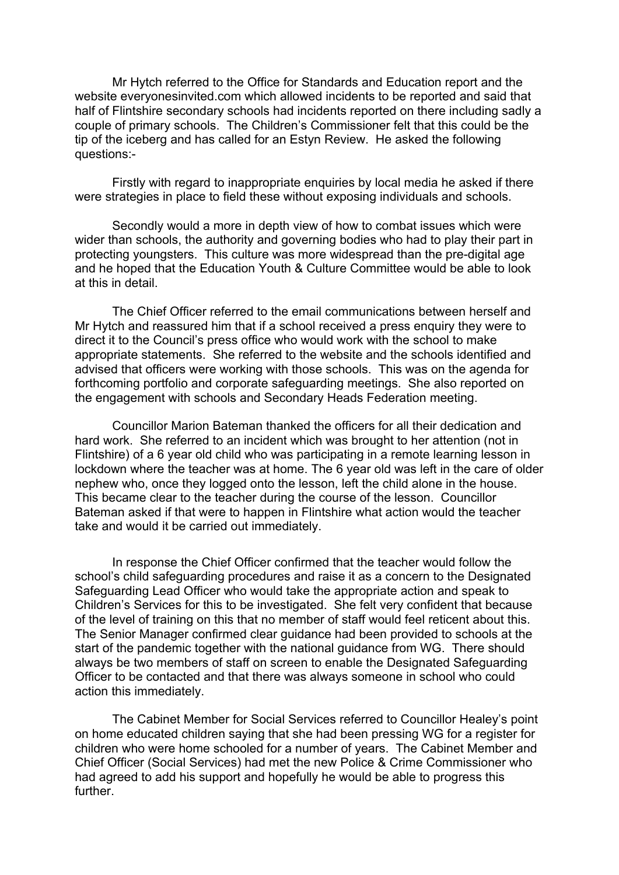Mr Hytch referred to the Office for Standards and Education report and the website everyonesinvited.com which allowed incidents to be reported and said that half of Flintshire secondary schools had incidents reported on there including sadly a couple of primary schools. The Children's Commissioner felt that this could be the tip of the iceberg and has called for an Estyn Review. He asked the following questions:-

Firstly with regard to inappropriate enquiries by local media he asked if there were strategies in place to field these without exposing individuals and schools.

Secondly would a more in depth view of how to combat issues which were wider than schools, the authority and governing bodies who had to play their part in protecting youngsters. This culture was more widespread than the pre-digital age and he hoped that the Education Youth & Culture Committee would be able to look at this in detail.

The Chief Officer referred to the email communications between herself and Mr Hytch and reassured him that if a school received a press enquiry they were to direct it to the Council's press office who would work with the school to make appropriate statements. She referred to the website and the schools identified and advised that officers were working with those schools. This was on the agenda for forthcoming portfolio and corporate safeguarding meetings. She also reported on the engagement with schools and Secondary Heads Federation meeting.

Councillor Marion Bateman thanked the officers for all their dedication and hard work. She referred to an incident which was brought to her attention (not in Flintshire) of a 6 year old child who was participating in a remote learning lesson in lockdown where the teacher was at home. The 6 year old was left in the care of older nephew who, once they logged onto the lesson, left the child alone in the house. This became clear to the teacher during the course of the lesson. Councillor Bateman asked if that were to happen in Flintshire what action would the teacher take and would it be carried out immediately.

In response the Chief Officer confirmed that the teacher would follow the school's child safeguarding procedures and raise it as a concern to the Designated Safeguarding Lead Officer who would take the appropriate action and speak to Children's Services for this to be investigated. She felt very confident that because of the level of training on this that no member of staff would feel reticent about this. The Senior Manager confirmed clear guidance had been provided to schools at the start of the pandemic together with the national guidance from WG. There should always be two members of staff on screen to enable the Designated Safeguarding Officer to be contacted and that there was always someone in school who could action this immediately.

The Cabinet Member for Social Services referred to Councillor Healey's point on home educated children saying that she had been pressing WG for a register for children who were home schooled for a number of years. The Cabinet Member and Chief Officer (Social Services) had met the new Police & Crime Commissioner who had agreed to add his support and hopefully he would be able to progress this further.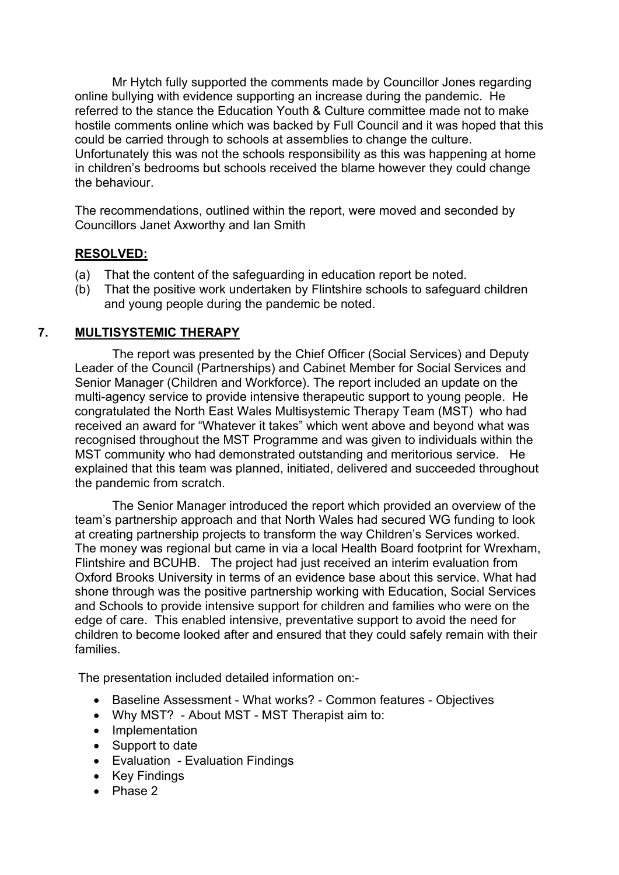Mr Hytch fully supported the comments made by Councillor Jones regarding online bullying with evidence supporting an increase during the pandemic. He referred to the stance the Education Youth & Culture committee made not to make hostile comments online which was backed by Full Council and it was hoped that this could be carried through to schools at assemblies to change the culture. Unfortunately this was not the schools responsibility as this was happening at home in children's bedrooms but schools received the blame however they could change the behaviour.

The recommendations, outlined within the report, were moved and seconded by Councillors Janet Axworthy and Ian Smith

# **RESOLVED:**

- (a) That the content of the safeguarding in education report be noted.
- (b) That the positive work undertaken by Flintshire schools to safeguard children and young people during the pandemic be noted.

# **7. MULTISYSTEMIC THERAPY**

The report was presented by the Chief Officer (Social Services) and Deputy Leader of the Council (Partnerships) and Cabinet Member for Social Services and Senior Manager (Children and Workforce). The report included an update on the multi-agency service to provide intensive therapeutic support to young people. He congratulated the North East Wales Multisystemic Therapy Team (MST) who had received an award for "Whatever it takes" which went above and beyond what was recognised throughout the MST Programme and was given to individuals within the MST community who had demonstrated outstanding and meritorious service. He explained that this team was planned, initiated, delivered and succeeded throughout the pandemic from scratch.

The Senior Manager introduced the report which provided an overview of the team's partnership approach and that North Wales had secured WG funding to look at creating partnership projects to transform the way Children's Services worked. The money was regional but came in via a local Health Board footprint for Wrexham, Flintshire and BCUHB. The project had just received an interim evaluation from Oxford Brooks University in terms of an evidence base about this service. What had shone through was the positive partnership working with Education, Social Services and Schools to provide intensive support for children and families who were on the edge of care. This enabled intensive, preventative support to avoid the need for children to become looked after and ensured that they could safely remain with their families.

The presentation included detailed information on:-

- Baseline Assessment What works? Common features Objectives
- Why MST? About MST MST Therapist aim to:
- Implementation
- Support to date
- Evaluation Evaluation Findings
- Key Findings
- Phase 2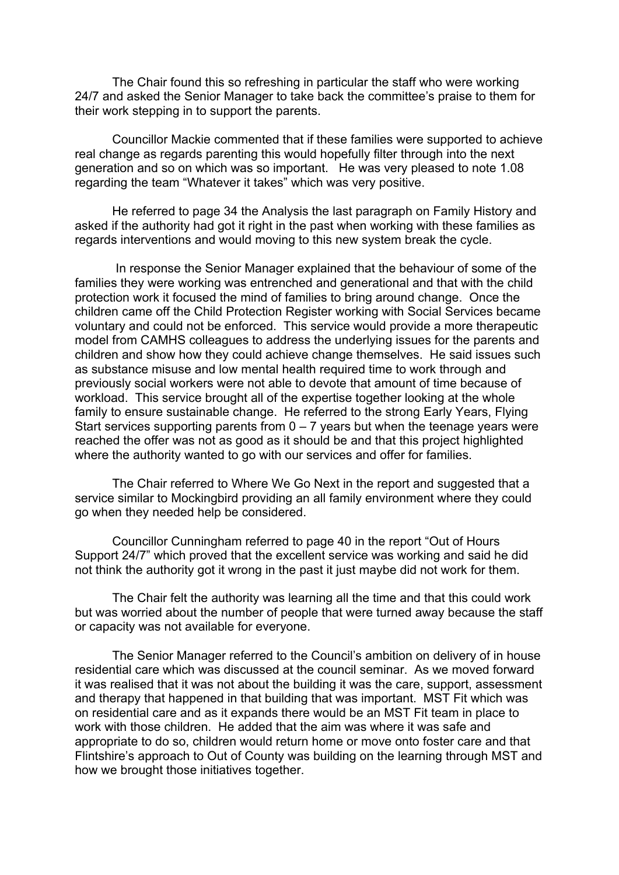The Chair found this so refreshing in particular the staff who were working 24/7 and asked the Senior Manager to take back the committee's praise to them for their work stepping in to support the parents.

Councillor Mackie commented that if these families were supported to achieve real change as regards parenting this would hopefully filter through into the next generation and so on which was so important. He was very pleased to note 1.08 regarding the team "Whatever it takes" which was very positive.

He referred to page 34 the Analysis the last paragraph on Family History and asked if the authority had got it right in the past when working with these families as regards interventions and would moving to this new system break the cycle.

In response the Senior Manager explained that the behaviour of some of the families they were working was entrenched and generational and that with the child protection work it focused the mind of families to bring around change. Once the children came off the Child Protection Register working with Social Services became voluntary and could not be enforced. This service would provide a more therapeutic model from CAMHS colleagues to address the underlying issues for the parents and children and show how they could achieve change themselves. He said issues such as substance misuse and low mental health required time to work through and previously social workers were not able to devote that amount of time because of workload. This service brought all of the expertise together looking at the whole family to ensure sustainable change. He referred to the strong Early Years, Flying Start services supporting parents from  $0 - 7$  years but when the teenage years were reached the offer was not as good as it should be and that this project highlighted where the authority wanted to go with our services and offer for families.

The Chair referred to Where We Go Next in the report and suggested that a service similar to Mockingbird providing an all family environment where they could go when they needed help be considered.

Councillor Cunningham referred to page 40 in the report "Out of Hours Support 24/7" which proved that the excellent service was working and said he did not think the authority got it wrong in the past it just maybe did not work for them.

The Chair felt the authority was learning all the time and that this could work but was worried about the number of people that were turned away because the staff or capacity was not available for everyone.

The Senior Manager referred to the Council's ambition on delivery of in house residential care which was discussed at the council seminar. As we moved forward it was realised that it was not about the building it was the care, support, assessment and therapy that happened in that building that was important. MST Fit which was on residential care and as it expands there would be an MST Fit team in place to work with those children. He added that the aim was where it was safe and appropriate to do so, children would return home or move onto foster care and that Flintshire's approach to Out of County was building on the learning through MST and how we brought those initiatives together.